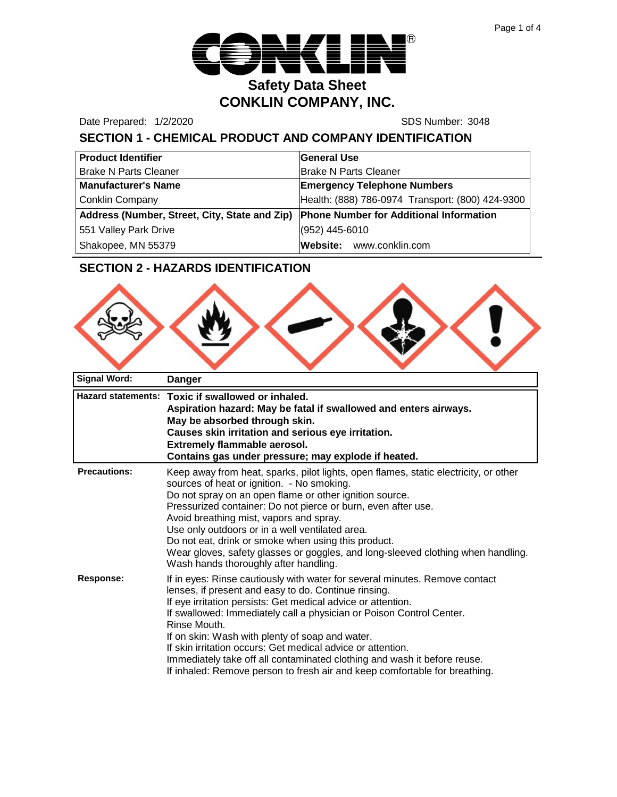

Date Prepared: 1/2/2020 SDS Number: 3048

# **SECTION 1 - CHEMICAL PRODUCT AND COMPANY IDENTIFICATION**

| <b>Product Identifier</b>                                                             | <b>General Use</b>                               |
|---------------------------------------------------------------------------------------|--------------------------------------------------|
| <b>Brake N Parts Cleaner</b>                                                          | <b>Brake N Parts Cleaner</b>                     |
| <b>Manufacturer's Name</b>                                                            | <b>Emergency Telephone Numbers</b>               |
| <b>Conklin Company</b>                                                                | Health: (888) 786-0974 Transport: (800) 424-9300 |
| Address (Number, Street, City, State and Zip) Phone Number for Additional Information |                                                  |
| 551 Valley Park Drive                                                                 | (952) 445-6010                                   |
| Shakopee, MN 55379                                                                    | Website: www.conklin.com                         |

# **SECTION 2 - HAZARDS IDENTIFICATION**

| a | N |  |  |
|---|---|--|--|
|   |   |  |  |

| <b>Signal Word:</b> | <b>Danger</b>                                                                                                                                                                                                                                                                                                                                                                                                                                                                                                                                                           |
|---------------------|-------------------------------------------------------------------------------------------------------------------------------------------------------------------------------------------------------------------------------------------------------------------------------------------------------------------------------------------------------------------------------------------------------------------------------------------------------------------------------------------------------------------------------------------------------------------------|
|                     | Hazard statements: Toxic if swallowed or inhaled.<br>Aspiration hazard: May be fatal if swallowed and enters airways.<br>May be absorbed through skin.<br>Causes skin irritation and serious eye irritation.<br><b>Extremely flammable aerosol.</b><br>Contains gas under pressure; may explode if heated.                                                                                                                                                                                                                                                              |
| <b>Precautions:</b> | Keep away from heat, sparks, pilot lights, open flames, static electricity, or other<br>sources of heat or ignition. - No smoking.<br>Do not spray on an open flame or other ignition source.<br>Pressurized container: Do not pierce or burn, even after use.<br>Avoid breathing mist, vapors and spray.<br>Use only outdoors or in a well ventilated area.<br>Do not eat, drink or smoke when using this product.<br>Wear gloves, safety glasses or goggles, and long-sleeved clothing when handling.<br>Wash hands thoroughly after handling.                        |
| <b>Response:</b>    | If in eyes: Rinse cautiously with water for several minutes. Remove contact<br>lenses, if present and easy to do. Continue rinsing.<br>If eye irritation persists: Get medical advice or attention.<br>If swallowed: Immediately call a physician or Poison Control Center.<br>Rinse Mouth.<br>If on skin: Wash with plenty of soap and water.<br>If skin irritation occurs: Get medical advice or attention.<br>Immediately take off all contaminated clothing and wash it before reuse.<br>If inhaled: Remove person to fresh air and keep comfortable for breathing. |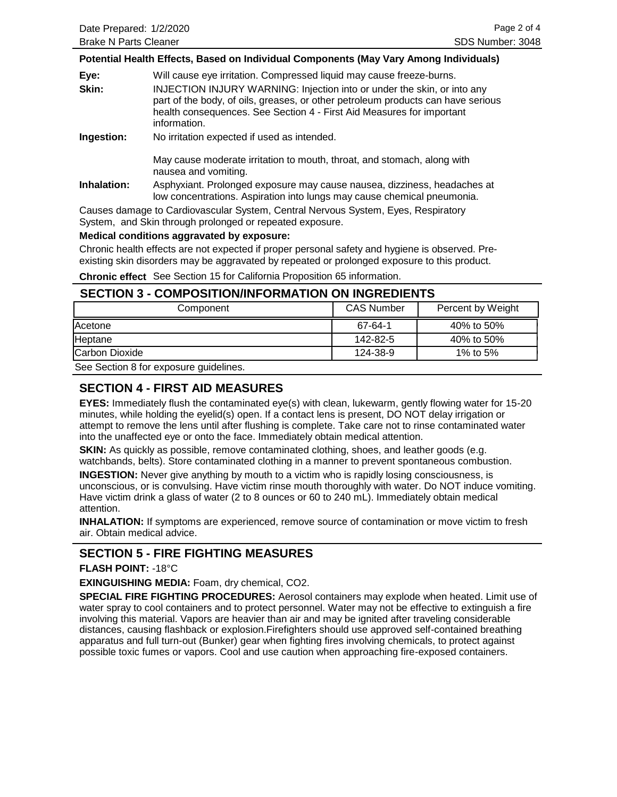#### **Potential Health Effects, Based on Individual Components (May Vary Among Individuals)**

| Eye:       | Will cause eye irritation. Compressed liquid may cause freeze-burns.                                                                                                                                                                                 |
|------------|------------------------------------------------------------------------------------------------------------------------------------------------------------------------------------------------------------------------------------------------------|
| Skin:      | INJECTION INJURY WARNING: Injection into or under the skin, or into any<br>part of the body, of oils, greases, or other petroleum products can have serious<br>health consequences. See Section 4 - First Aid Measures for important<br>information. |
| Ingestion: | No irritation expected if used as intended.                                                                                                                                                                                                          |

May cause moderate irritation to mouth, throat, and stomach, along with nausea and vomiting.

**Inhalation:** Asphyxiant. Prolonged exposure may cause nausea, dizziness, headaches at low concentrations. Aspiration into lungs may cause chemical pneumonia.

Causes damage to Cardiovascular System, Central Nervous System, Eyes, Respiratory System, and Skin through prolonged or repeated exposure.

#### **Medical conditions aggravated by exposure:**

Chronic health effects are not expected if proper personal safety and hygiene is observed. Preexisting skin disorders may be aggravated by repeated or prolonged exposure to this product.

**Chronic effect** See Section 15 for California Proposition 65 information.

### **SECTION 3 - COMPOSITION/INFORMATION ON INGREDIENTS**

| Component      | <b>CAS Number</b> | Percent by Weight |
|----------------|-------------------|-------------------|
| Acetone        | 67-64-1           | 40% to 50%        |
| Heptane        | 142-82-5          | 40% to 50%        |
| Carbon Dioxide | 124-38-9          | 1% to 5%          |
| .              |                   |                   |

See Section 8 for exposure guidelines.

## **SECTION 4 - FIRST AID MEASURES**

**EYES:** Immediately flush the contaminated eye(s) with clean, lukewarm, gently flowing water for 15-20 minutes, while holding the eyelid(s) open. If a contact lens is present, DO NOT delay irrigation or attempt to remove the lens until after flushing is complete. Take care not to rinse contaminated water into the unaffected eye or onto the face. Immediately obtain medical attention.

**SKIN:** As quickly as possible, remove contaminated clothing, shoes, and leather goods (e.g. watchbands, belts). Store contaminated clothing in a manner to prevent spontaneous combustion.

**INGESTION:** Never give anything by mouth to a victim who is rapidly losing consciousness, is unconscious, or is convulsing. Have victim rinse mouth thoroughly with water. Do NOT induce vomiting. Have victim drink a glass of water (2 to 8 ounces or 60 to 240 mL). Immediately obtain medical attention.

**INHALATION:** If symptoms are experienced, remove source of contamination or move victim to fresh air. Obtain medical advice.

## **SECTION 5 - FIRE FIGHTING MEASURES**

#### **FLASH POINT:** -18°C

**EXINGUISHING MEDIA:** Foam, dry chemical, CO2.

**SPECIAL FIRE FIGHTING PROCEDURES:** Aerosol containers may explode when heated. Limit use of water spray to cool containers and to protect personnel. Water may not be effective to extinguish a fire involving this material. Vapors are heavier than air and may be ignited after traveling considerable distances, causing flashback or explosion.Firefighters should use approved self-contained breathing apparatus and full turn-out (Bunker) gear when fighting fires involving chemicals, to protect against possible toxic fumes or vapors. Cool and use caution when approaching fire-exposed containers.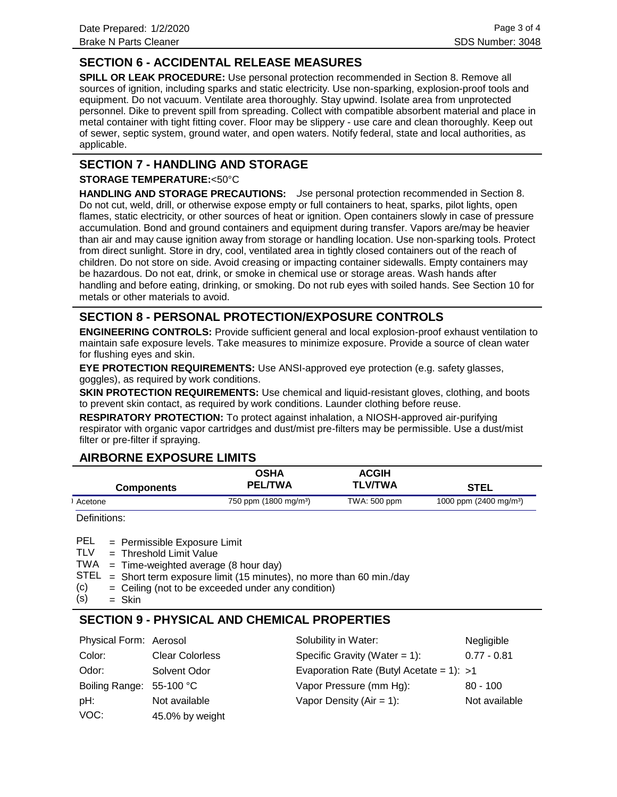# **SECTION 6 - ACCIDENTAL RELEASE MEASURES**

**SPILL OR LEAK PROCEDURE:** Use personal protection recommended in Section 8. Remove all sources of ignition, including sparks and static electricity. Use non-sparking, explosion-proof tools and equipment. Do not vacuum. Ventilate area thoroughly. Stay upwind. Isolate area from unprotected personnel. Dike to prevent spill from spreading. Collect with compatible absorbent material and place in metal container with tight fitting cover. Floor may be slippery - use care and clean thoroughly. Keep out of sewer, septic system, ground water, and open waters. Notify federal, state and local authorities, as applicable.

## **SECTION 7 - HANDLING AND STORAGE**

### **STORAGE TEMPERATURE:**<50°C

**HANDLING AND STORAGE PRECAUTIONS:** Use personal protection recommended in Section 8. Do not cut, weld, drill, or otherwise expose empty or full containers to heat, sparks, pilot lights, open flames, static electricity, or other sources of heat or ignition. Open containers slowly in case of pressure accumulation. Bond and ground containers and equipment during transfer. Vapors are/may be heavier than air and may cause ignition away from storage or handling location. Use non-sparking tools. Protect from direct sunlight. Store in dry, cool, ventilated area in tightly closed containers out of the reach of children. Do not store on side. Avoid creasing or impacting container sidewalls. Empty containers may be hazardous. Do not eat, drink, or smoke in chemical use or storage areas. Wash hands after handling and before eating, drinking, or smoking. Do not rub eyes with soiled hands. See Section 10 for metals or other materials to avoid.

# **SECTION 8 - PERSONAL PROTECTION/EXPOSURE CONTROLS**

**ENGINEERING CONTROLS:** Provide sufficient general and local explosion-proof exhaust ventilation to maintain safe exposure levels. Take measures to minimize exposure. Provide a source of clean water for flushing eyes and skin.

**EYE PROTECTION REQUIREMENTS:** Use ANSI-approved eye protection (e.g. safety glasses, goggles), as required by work conditions.

**SKIN PROTECTION REQUIREMENTS:** Use chemical and liquid-resistant gloves, clothing, and boots to prevent skin contact, as required by work conditions. Launder clothing before reuse.

**RESPIRATORY PROTECTION:** To protect against inhalation, a NIOSH-approved air-purifying respirator with organic vapor cartridges and dust/mist pre-filters may be permissible. Use a dust/mist filter or pre-filter if spraying.

## **AIRBORNE EXPOSURE LIMITS**

| <b>Components</b> | <b>OSHA</b><br><b>PEL/TWA</b>     | <b>ACGIH</b><br><b>TLV/TWA</b> | <b>STEL</b>                      |
|-------------------|-----------------------------------|--------------------------------|----------------------------------|
| Acetone           | 750 ppm (1800 mg/m <sup>3</sup> ) | TWA: 500 ppm                   | 1000 ppm $(2400 \text{ mg/m}^3)$ |

Definitions:

= Permissible Exposure Limit PEL

Threshold Limit Value = TLV

 $TWA = Time-weighted average (8 hour day)$ 

- $STEL = Short term exposure limit (15 minutes), no more than 60 min/day$
- Ceiling (not to be exceeded under any condition) = (c)
- Skin = (s)

## **SECTION 9 - PHYSICAL AND CHEMICAL PROPERTIES**

| Physical Form: Aerosol   |                        | Solubility in Water:                       | Negligible    |
|--------------------------|------------------------|--------------------------------------------|---------------|
| Color:                   | <b>Clear Colorless</b> | Specific Gravity (Water = $1$ ):           | $0.77 - 0.81$ |
| Odor:                    | Solvent Odor           | Evaporation Rate (Butyl Acetate = 1): $>1$ |               |
| Boiling Range: 55-100 °C |                        | Vapor Pressure (mm Hg):                    | $80 - 100$    |
| pH:                      | Not available          | Vapor Density ( $Air = 1$ ):               | Not available |
| VOC:                     | 45.0% by weight        |                                            |               |